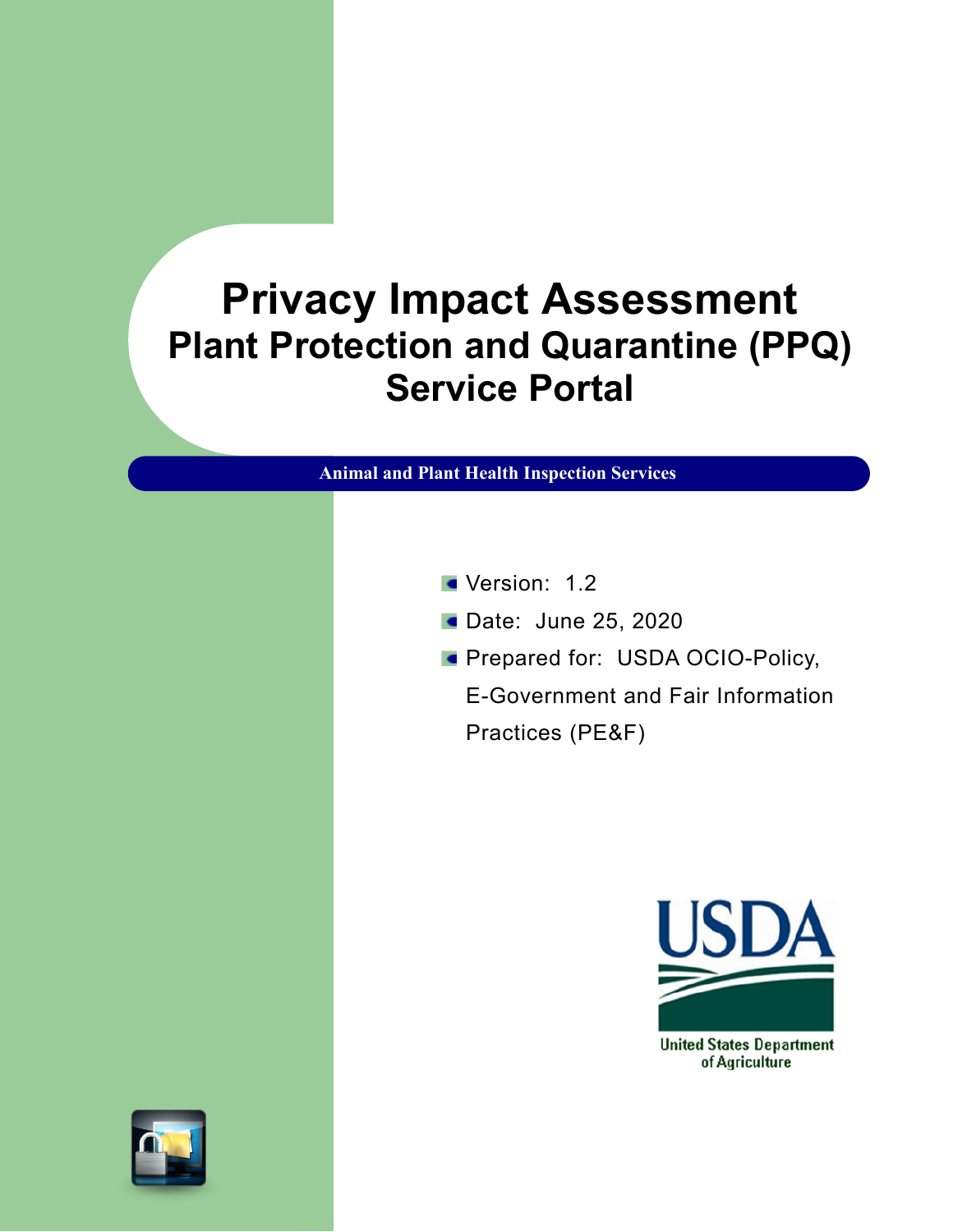# **Privacy Impact Assessment Plant Protection and Quarantine (PPQ) Service Portal**

**Animal and Plant Health Inspection Services**

- Version: 1.2
- **Date: June 25, 2020**
- **Prepared for: USDA OCIO-Policy,**

E-Government and Fair Information Practices (PE&F)



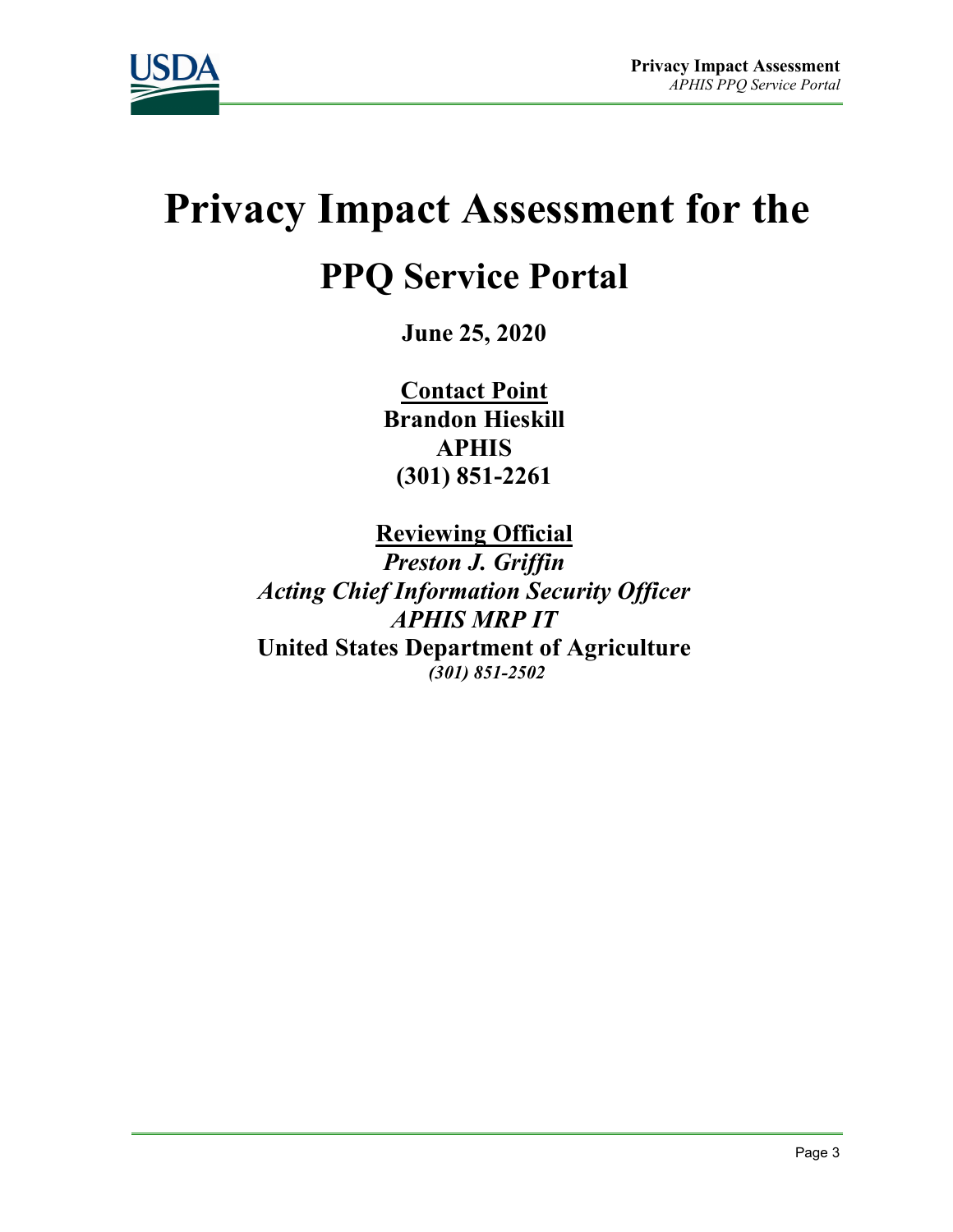

# **Privacy Impact Assessment for the**

# **PPQ Service Portal**

**June 25, 2020**

**Contact Point Brandon Hieskill APHIS (301) 851-2261**

**Reviewing Official**  *Preston J. Griffin Acting Chief Information Security Officer APHIS MRP IT* **United States Department of Agriculture** *(301) 851-2502*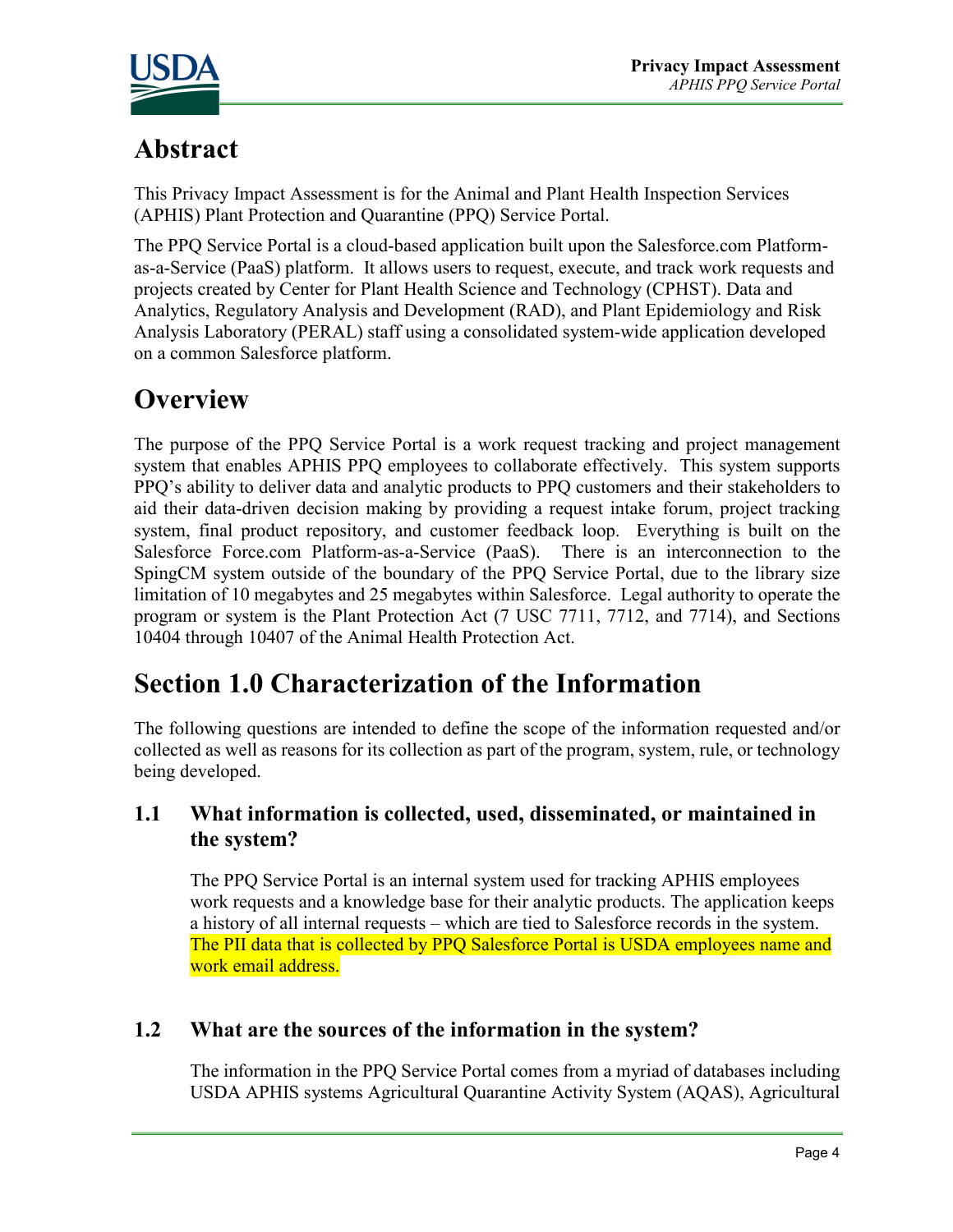

# **Abstract**

This Privacy Impact Assessment is for the Animal and Plant Health Inspection Services (APHIS) Plant Protection and Quarantine (PPQ) Service Portal.

The PPQ Service Portal is a cloud-based application built upon the Salesforce.com Platformas-a-Service (PaaS) platform. It allows users to request, execute, and track work requests and projects created by Center for Plant Health Science and Technology (CPHST). Data and Analytics, Regulatory Analysis and Development (RAD), and Plant Epidemiology and Risk Analysis Laboratory (PERAL) staff using a consolidated system-wide application developed on a common Salesforce platform.

# **Overview**

The purpose of the PPQ Service Portal is a work request tracking and project management system that enables APHIS PPQ employees to collaborate effectively. This system supports PPQ's ability to deliver data and analytic products to PPQ customers and their stakeholders to aid their data-driven decision making by providing a request intake forum, project tracking system, final product repository, and customer feedback loop. Everything is built on the Salesforce Force.com Platform-as-a-Service (PaaS). There is an interconnection to the SpingCM system outside of the boundary of the PPQ Service Portal, due to the library size limitation of 10 megabytes and 25 megabytes within Salesforce. Legal authority to operate the program or system is the Plant Protection Act (7 USC 7711, 7712, and 7714), and Sections 10404 through 10407 of the Animal Health Protection Act.

# **Section 1.0 Characterization of the Information**

The following questions are intended to define the scope of the information requested and/or collected as well as reasons for its collection as part of the program, system, rule, or technology being developed.

#### **1.1 What information is collected, used, disseminated, or maintained in the system?**

The PPQ Service Portal is an internal system used for tracking APHIS employees work requests and a knowledge base for their analytic products. The application keeps a history of all internal requests – which are tied to Salesforce records in the system. The PII data that is collected by PPQ Salesforce Portal is USDA employees name and work email address.

#### **1.2 What are the sources of the information in the system?**

The information in the PPQ Service Portal comes from a myriad of databases including USDA APHIS systems Agricultural Quarantine Activity System (AQAS), Agricultural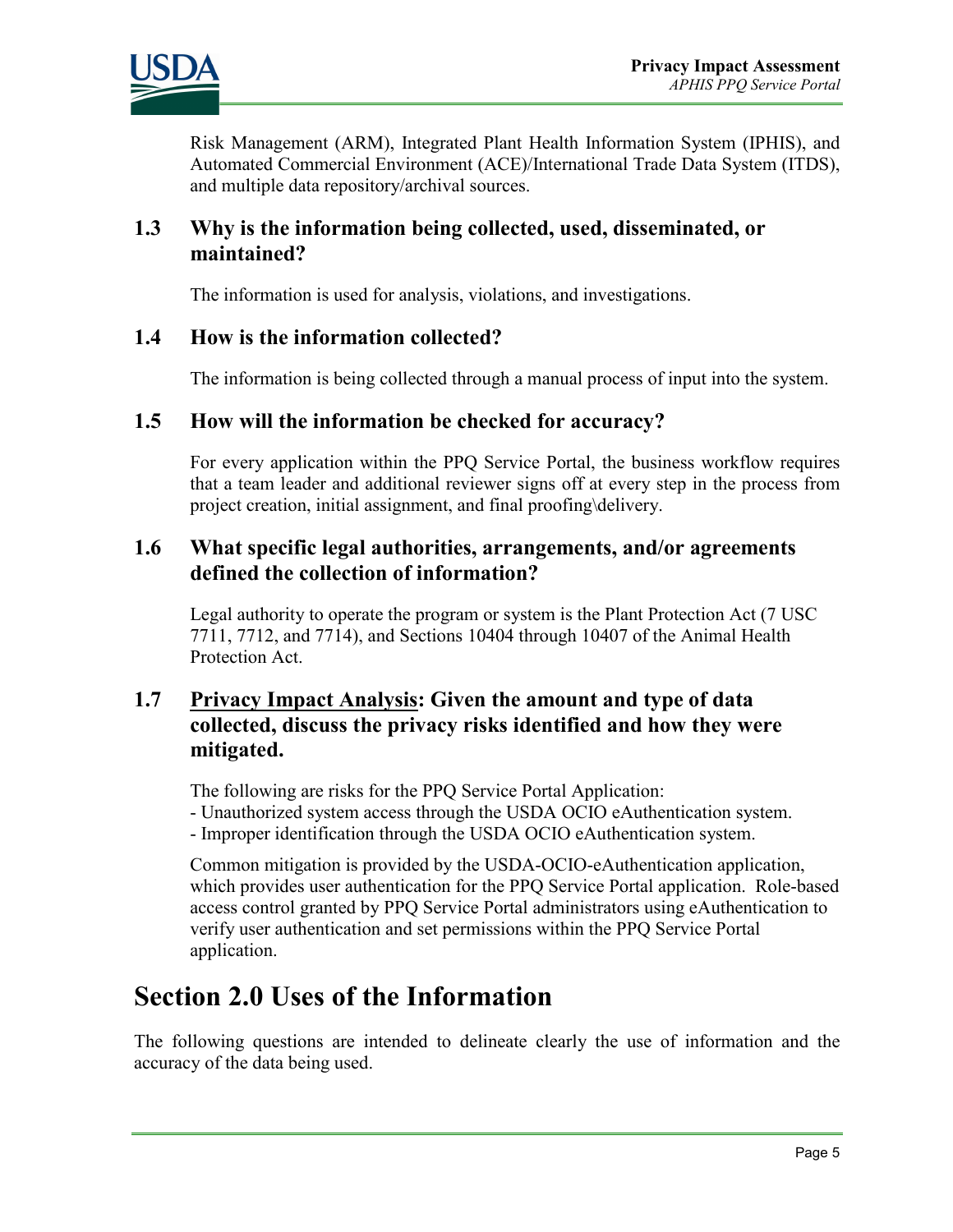

Risk Management (ARM), Integrated Plant Health Information System (IPHIS), and Automated Commercial Environment (ACE)/International Trade Data System (ITDS), and multiple data repository/archival sources.

#### **1.3 Why is the information being collected, used, disseminated, or maintained?**

The information is used for analysis, violations, and investigations.

#### **1.4 How is the information collected?**

The information is being collected through a manual process of input into the system.

#### **1.5 How will the information be checked for accuracy?**

For every application within the PPQ Service Portal, the business workflow requires that a team leader and additional reviewer signs off at every step in the process from project creation, initial assignment, and final proofing\delivery.

#### **1.6 What specific legal authorities, arrangements, and/or agreements defined the collection of information?**

Legal authority to operate the program or system is the Plant Protection Act (7 USC 7711, 7712, and 7714), and Sections 10404 through 10407 of the Animal Health Protection Act.

#### **1.7 Privacy Impact Analysis: Given the amount and type of data collected, discuss the privacy risks identified and how they were mitigated.**

The following are risks for the PPQ Service Portal Application: - Unauthorized system access through the USDA OCIO eAuthentication system. - Improper identification through the USDA OCIO eAuthentication system.

Common mitigation is provided by the USDA-OCIO-eAuthentication application, which provides user authentication for the PPQ Service Portal application. Role-based access control granted by PPQ Service Portal administrators using eAuthentication to verify user authentication and set permissions within the PPQ Service Portal application.

# **Section 2.0 Uses of the Information**

The following questions are intended to delineate clearly the use of information and the accuracy of the data being used.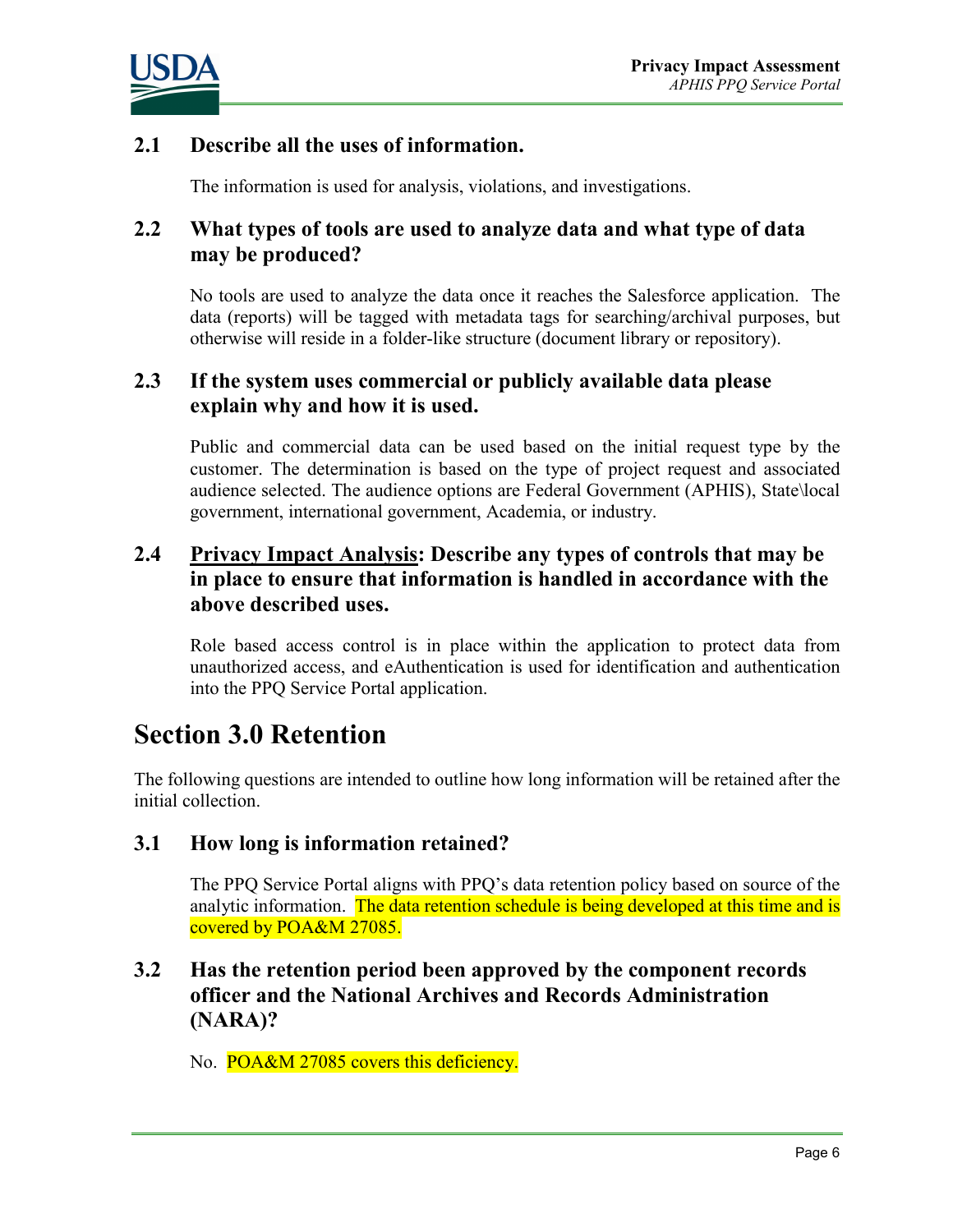

#### **2.1 Describe all the uses of information.**

The information is used for analysis, violations, and investigations.

#### **2.2 What types of tools are used to analyze data and what type of data may be produced?**

No tools are used to analyze the data once it reaches the Salesforce application. The data (reports) will be tagged with metadata tags for searching/archival purposes, but otherwise will reside in a folder-like structure (document library or repository).

#### **2.3 If the system uses commercial or publicly available data please explain why and how it is used.**

Public and commercial data can be used based on the initial request type by the customer. The determination is based on the type of project request and associated audience selected. The audience options are Federal Government (APHIS), State\local government, international government, Academia, or industry.

#### **2.4 Privacy Impact Analysis: Describe any types of controls that may be in place to ensure that information is handled in accordance with the above described uses.**

Role based access control is in place within the application to protect data from unauthorized access, and eAuthentication is used for identification and authentication into the PPQ Service Portal application.

### **Section 3.0 Retention**

The following questions are intended to outline how long information will be retained after the initial collection.

#### **3.1 How long is information retained?**

The PPQ Service Portal aligns with PPQ's data retention policy based on source of the analytic information. The data retention schedule is being developed at this time and is covered by POA&M 27085.

#### **3.2 Has the retention period been approved by the component records officer and the National Archives and Records Administration (NARA)?**

No. POA&M 27085 covers this deficiency.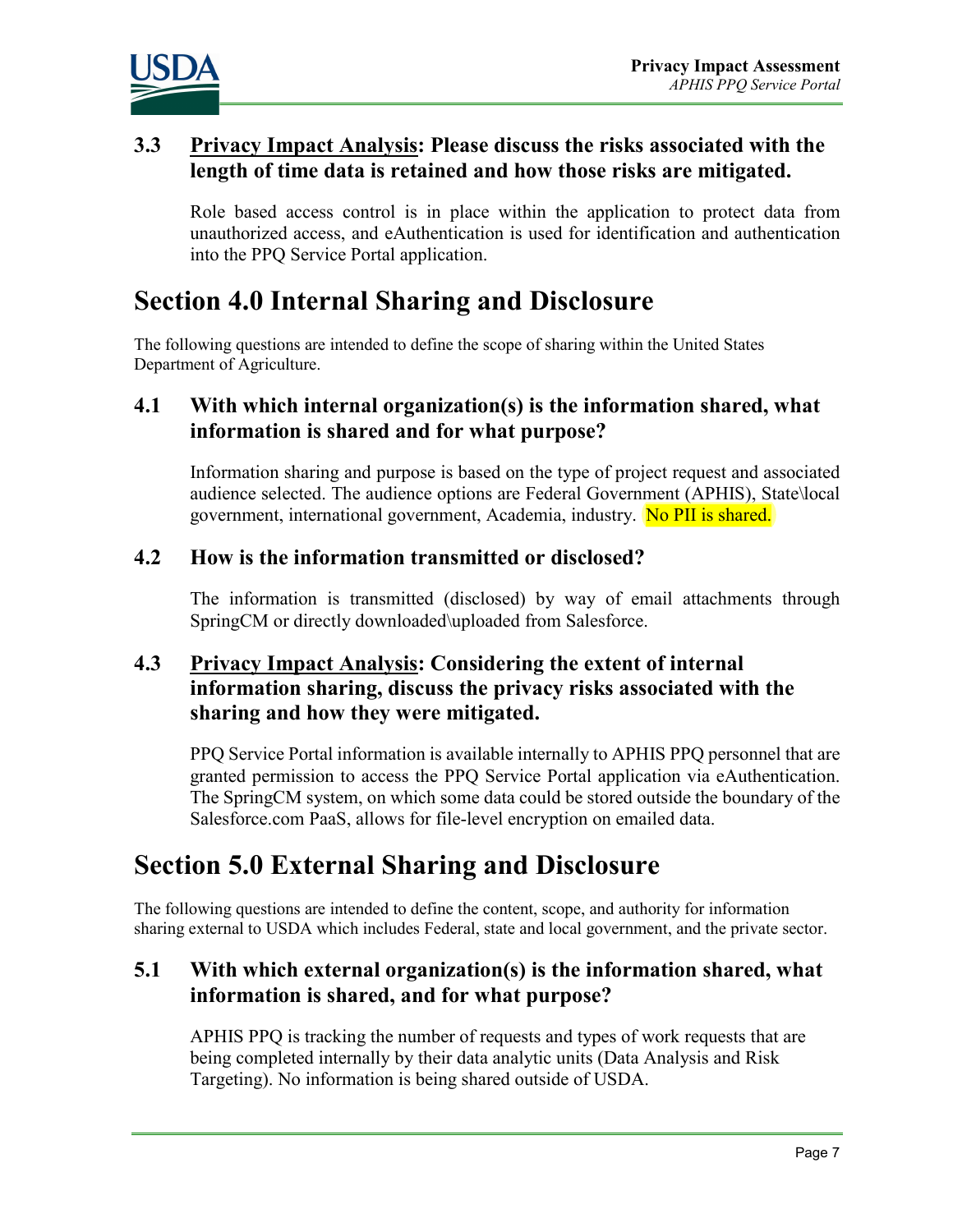

#### **3.3 Privacy Impact Analysis: Please discuss the risks associated with the length of time data is retained and how those risks are mitigated.**

Role based access control is in place within the application to protect data from unauthorized access, and eAuthentication is used for identification and authentication into the PPQ Service Portal application.

# **Section 4.0 Internal Sharing and Disclosure**

The following questions are intended to define the scope of sharing within the United States Department of Agriculture.

#### **4.1 With which internal organization(s) is the information shared, what information is shared and for what purpose?**

Information sharing and purpose is based on the type of project request and associated audience selected. The audience options are Federal Government (APHIS), State\local government, international government, Academia, industry. No PII is shared.

#### **4.2 How is the information transmitted or disclosed?**

The information is transmitted (disclosed) by way of email attachments through SpringCM or directly downloaded\uploaded from Salesforce.

#### **4.3 Privacy Impact Analysis: Considering the extent of internal information sharing, discuss the privacy risks associated with the sharing and how they were mitigated.**

PPQ Service Portal information is available internally to APHIS PPQ personnel that are granted permission to access the PPQ Service Portal application via eAuthentication. The SpringCM system, on which some data could be stored outside the boundary of the Salesforce.com PaaS, allows for file-level encryption on emailed data.

# **Section 5.0 External Sharing and Disclosure**

The following questions are intended to define the content, scope, and authority for information sharing external to USDA which includes Federal, state and local government, and the private sector.

#### **5.1 With which external organization(s) is the information shared, what information is shared, and for what purpose?**

APHIS PPQ is tracking the number of requests and types of work requests that are being completed internally by their data analytic units (Data Analysis and Risk Targeting). No information is being shared outside of USDA.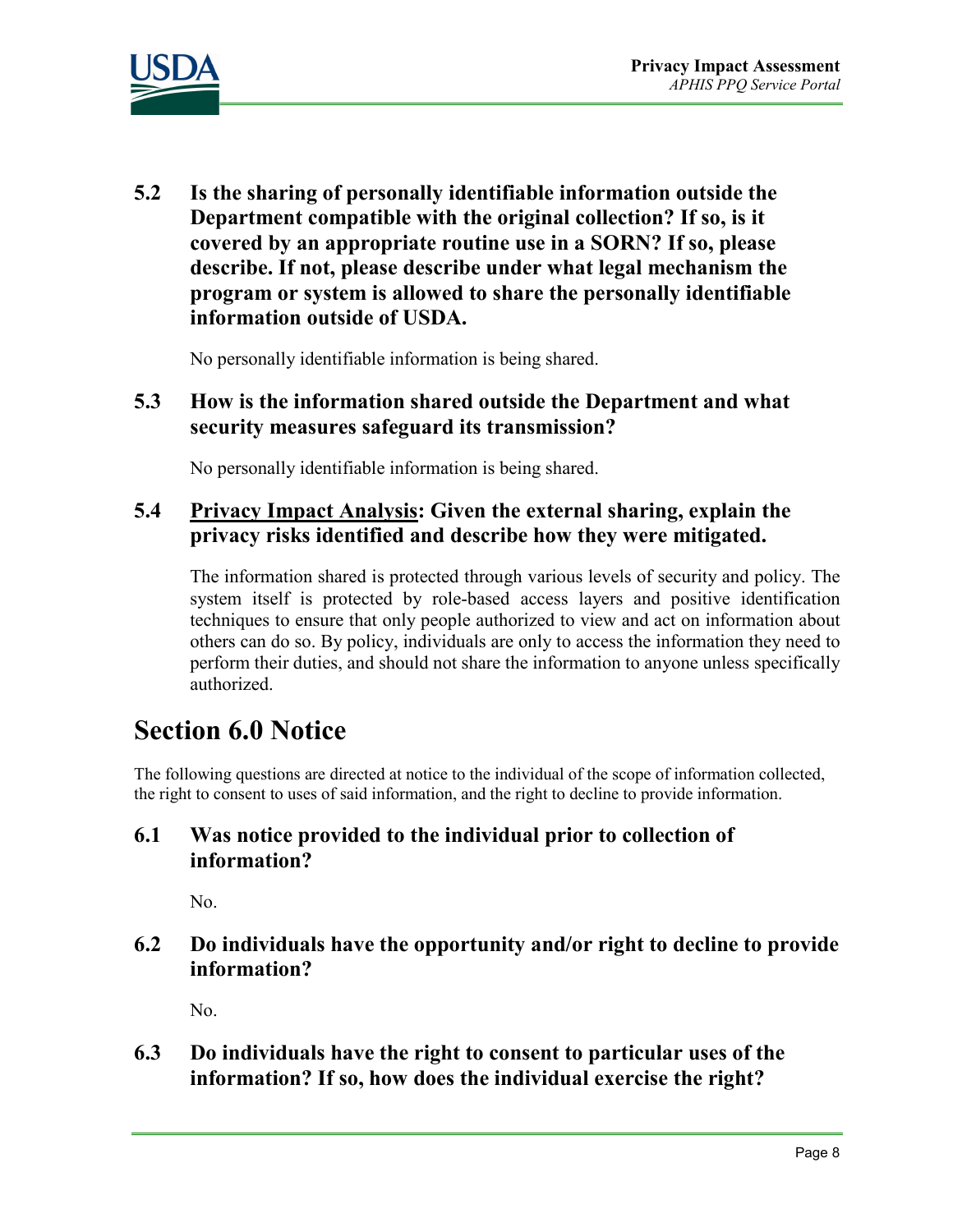

**5.2 Is the sharing of personally identifiable information outside the Department compatible with the original collection? If so, is it covered by an appropriate routine use in a SORN? If so, please describe. If not, please describe under what legal mechanism the program or system is allowed to share the personally identifiable information outside of USDA.** 

No personally identifiable information is being shared.

#### **5.3 How is the information shared outside the Department and what security measures safeguard its transmission?**

No personally identifiable information is being shared.

#### **5.4 Privacy Impact Analysis: Given the external sharing, explain the privacy risks identified and describe how they were mitigated.**

The information shared is protected through various levels of security and policy. The system itself is protected by role-based access layers and positive identification techniques to ensure that only people authorized to view and act on information about others can do so. By policy, individuals are only to access the information they need to perform their duties, and should not share the information to anyone unless specifically authorized.

### **Section 6.0 Notice**

The following questions are directed at notice to the individual of the scope of information collected, the right to consent to uses of said information, and the right to decline to provide information.

#### **6.1 Was notice provided to the individual prior to collection of information?**

No.

#### **6.2 Do individuals have the opportunity and/or right to decline to provide information?**

No.

**6.3 Do individuals have the right to consent to particular uses of the information? If so, how does the individual exercise the right?**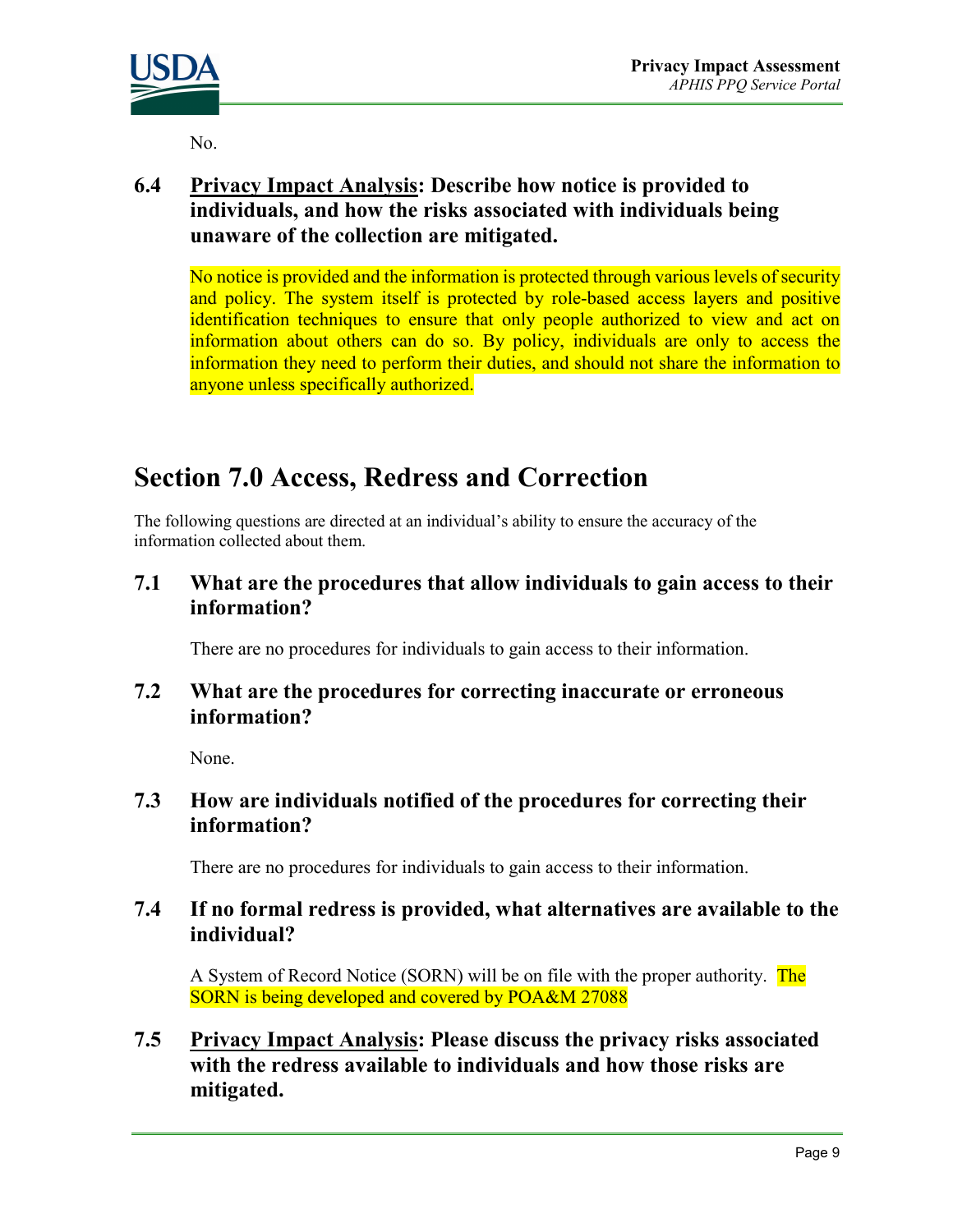

No.

#### **6.4 Privacy Impact Analysis: Describe how notice is provided to individuals, and how the risks associated with individuals being unaware of the collection are mitigated.**

No notice is provided and the information is protected through various levels of security and policy. The system itself is protected by role-based access layers and positive identification techniques to ensure that only people authorized to view and act on information about others can do so. By policy, individuals are only to access the information they need to perform their duties, and should not share the information to anyone unless specifically authorized.

# **Section 7.0 Access, Redress and Correction**

The following questions are directed at an individual's ability to ensure the accuracy of the information collected about them.

**7.1 What are the procedures that allow individuals to gain access to their information?** 

There are no procedures for individuals to gain access to their information.

#### **7.2 What are the procedures for correcting inaccurate or erroneous information?**

None.

#### **7.3 How are individuals notified of the procedures for correcting their information?**

There are no procedures for individuals to gain access to their information.

#### **7.4 If no formal redress is provided, what alternatives are available to the individual?**

A System of Record Notice (SORN) will be on file with the proper authority. The SORN is being developed and covered by POA&M 27088

**7.5 Privacy Impact Analysis: Please discuss the privacy risks associated with the redress available to individuals and how those risks are mitigated.**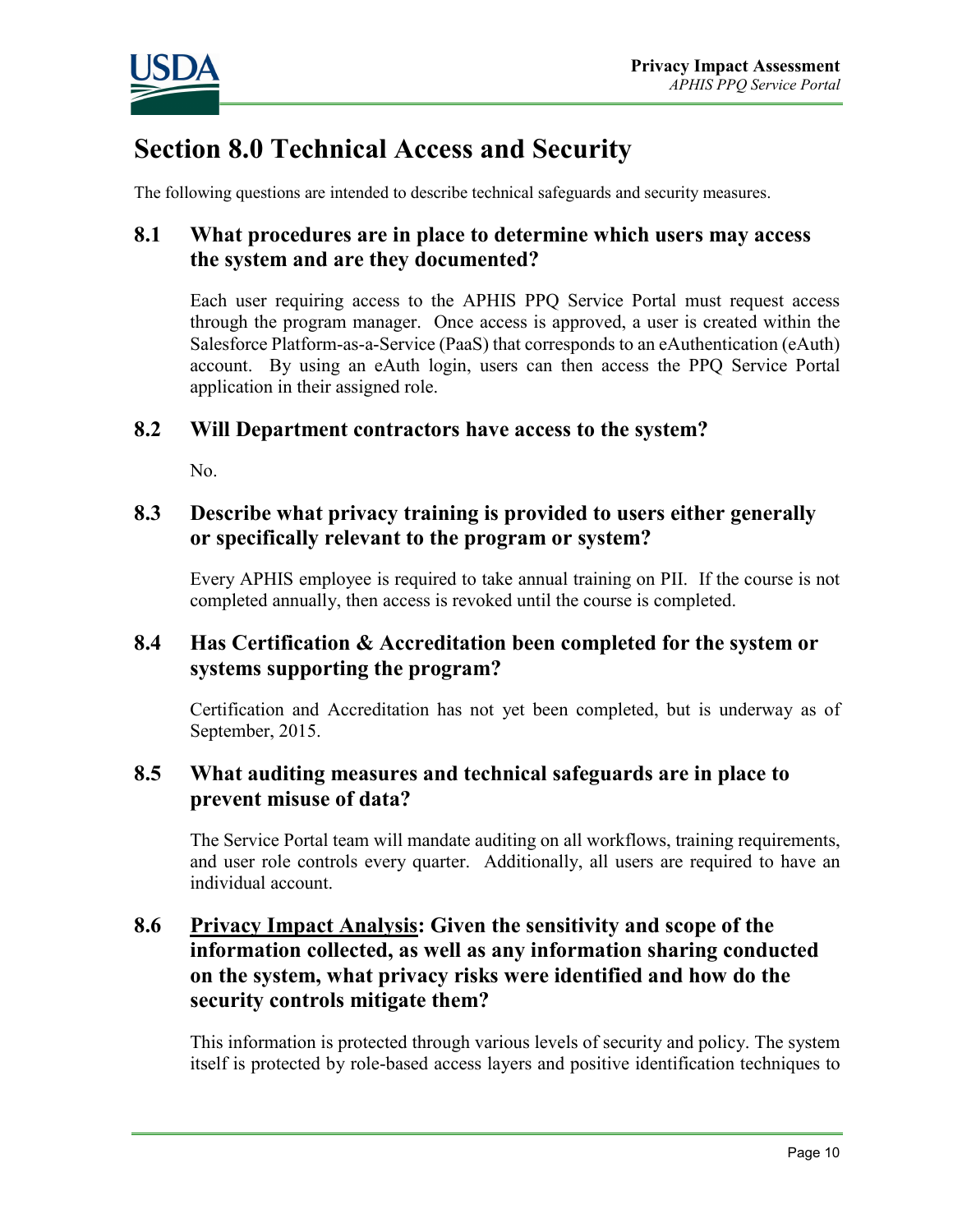

# **Section 8.0 Technical Access and Security**

The following questions are intended to describe technical safeguards and security measures.

#### **8.1 What procedures are in place to determine which users may access the system and are they documented?**

Each user requiring access to the APHIS PPQ Service Portal must request access through the program manager. Once access is approved, a user is created within the Salesforce Platform-as-a-Service (PaaS) that corresponds to an eAuthentication (eAuth) account. By using an eAuth login, users can then access the PPQ Service Portal application in their assigned role.

#### **8.2 Will Department contractors have access to the system?**

No.

#### **8.3 Describe what privacy training is provided to users either generally or specifically relevant to the program or system?**

Every APHIS employee is required to take annual training on PII. If the course is not completed annually, then access is revoked until the course is completed.

#### **8.4 Has Certification & Accreditation been completed for the system or systems supporting the program?**

Certification and Accreditation has not yet been completed, but is underway as of September, 2015.

#### **8.5 What auditing measures and technical safeguards are in place to prevent misuse of data?**

The Service Portal team will mandate auditing on all workflows, training requirements, and user role controls every quarter. Additionally, all users are required to have an individual account.

#### **8.6 Privacy Impact Analysis: Given the sensitivity and scope of the information collected, as well as any information sharing conducted on the system, what privacy risks were identified and how do the security controls mitigate them?**

This information is protected through various levels of security and policy. The system itself is protected by role-based access layers and positive identification techniques to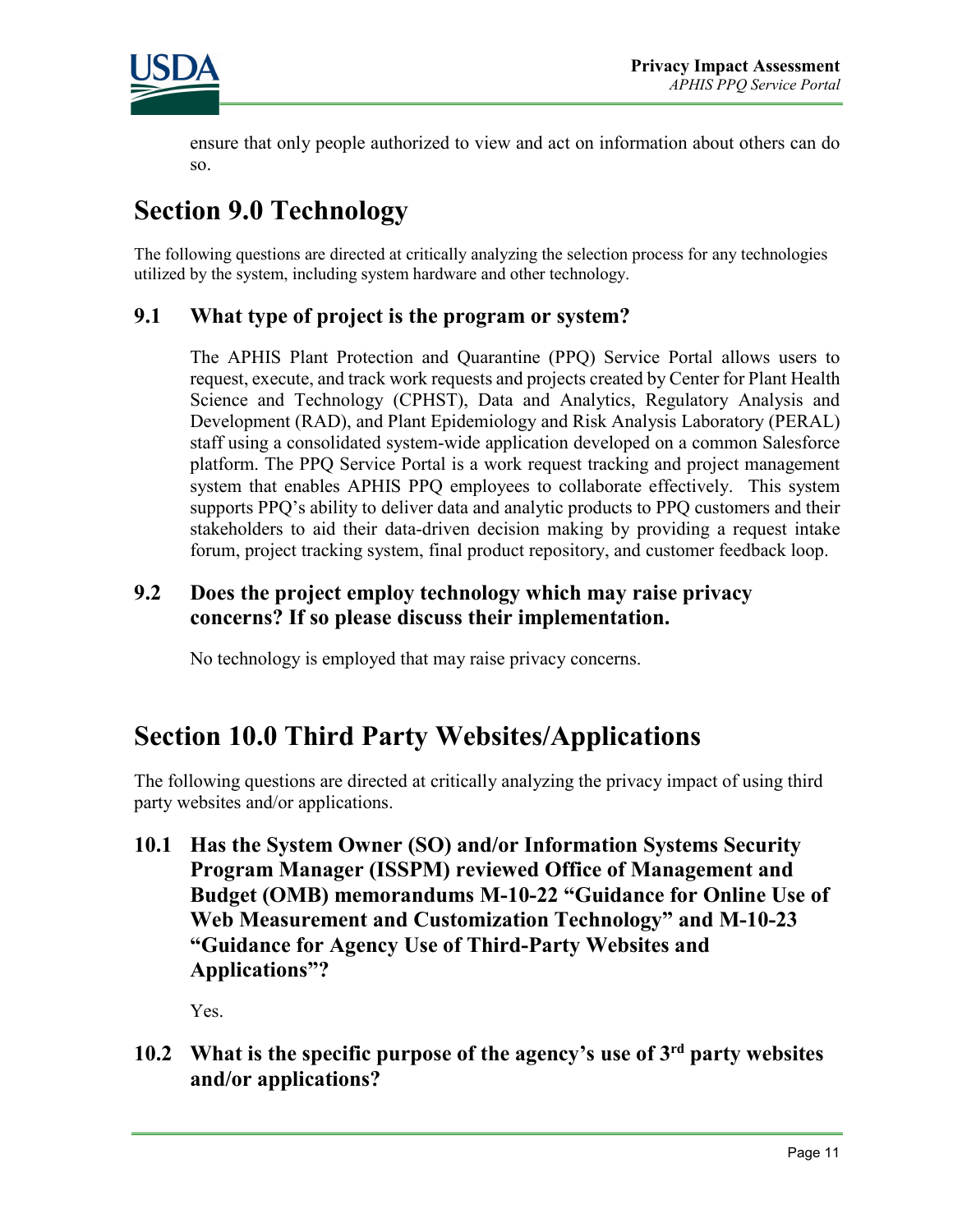

ensure that only people authorized to view and act on information about others can do so.

# **Section 9.0 Technology**

The following questions are directed at critically analyzing the selection process for any technologies utilized by the system, including system hardware and other technology.

#### **9.1 What type of project is the program or system?**

The APHIS Plant Protection and Quarantine (PPQ) Service Portal allows users to request, execute, and track work requests and projects created by Center for Plant Health Science and Technology (CPHST), Data and Analytics, Regulatory Analysis and Development (RAD), and Plant Epidemiology and Risk Analysis Laboratory (PERAL) staff using a consolidated system-wide application developed on a common Salesforce platform. The PPQ Service Portal is a work request tracking and project management system that enables APHIS PPQ employees to collaborate effectively. This system supports PPQ's ability to deliver data and analytic products to PPQ customers and their stakeholders to aid their data-driven decision making by providing a request intake forum, project tracking system, final product repository, and customer feedback loop.

#### **9.2 Does the project employ technology which may raise privacy concerns? If so please discuss their implementation.**

No technology is employed that may raise privacy concerns.

# **Section 10.0 Third Party Websites/Applications**

The following questions are directed at critically analyzing the privacy impact of using third party websites and/or applications.

**10.1 Has the System Owner (SO) and/or Information Systems Security Program Manager (ISSPM) reviewed Office of Management and Budget (OMB) memorandums M-10-22 "Guidance for Online Use of Web Measurement and Customization Technology" and M-10-23 "Guidance for Agency Use of Third-Party Websites and Applications"?**

Yes.

**10.2 What is the specific purpose of the agency's use of 3rd party websites and/or applications?**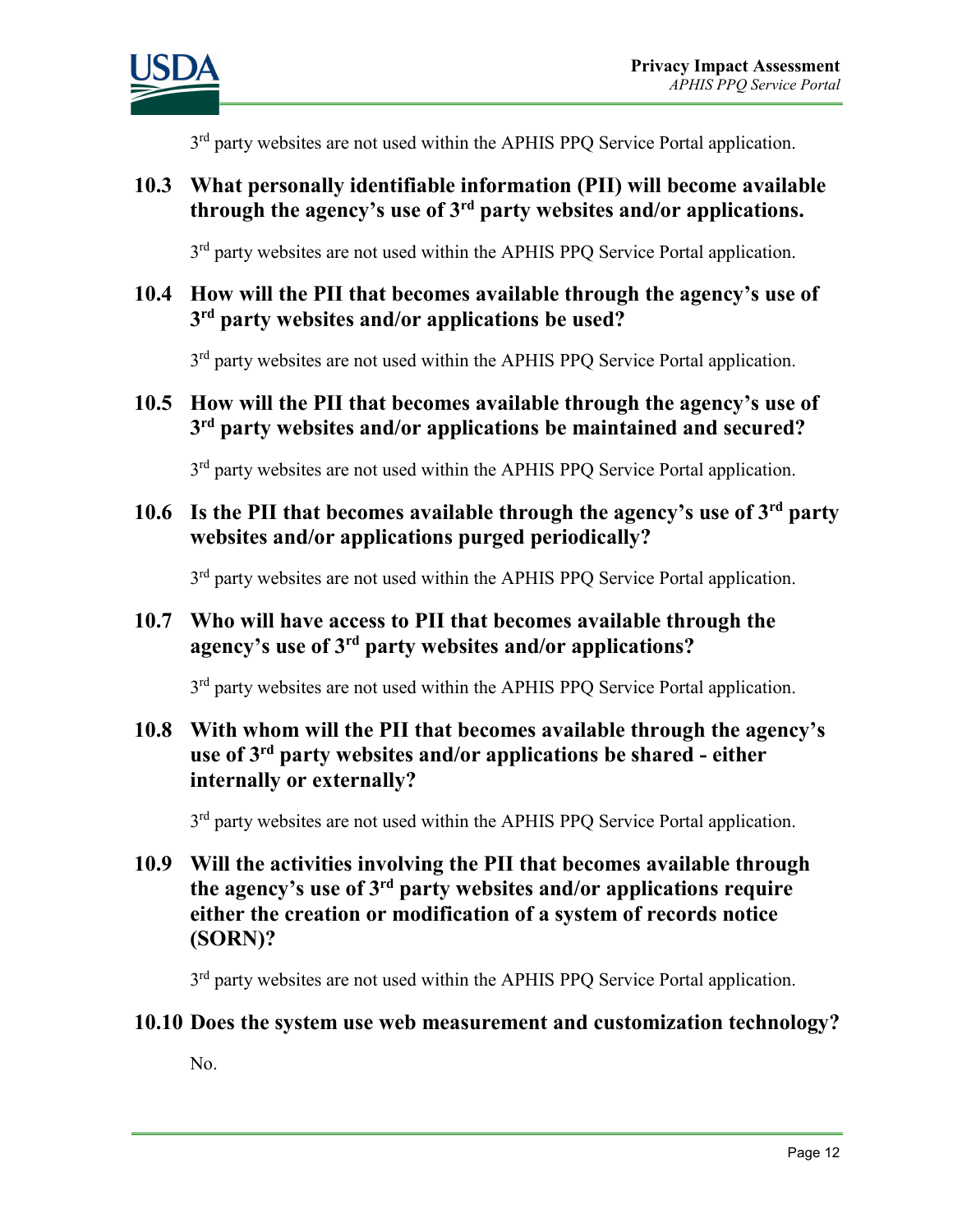

3<sup>rd</sup> party websites are not used within the APHIS PPO Service Portal application.

#### **10.3 What personally identifiable information (PII) will become available through the agency's use of 3rd party websites and/or applications.**

3<sup>rd</sup> party websites are not used within the APHIS PPO Service Portal application.

#### **10.4 How will the PII that becomes available through the agency's use of 3rd party websites and/or applications be used?**

3<sup>rd</sup> party websites are not used within the APHIS PPQ Service Portal application.

#### **10.5 How will the PII that becomes available through the agency's use of 3rd party websites and/or applications be maintained and secured?**

3<sup>rd</sup> party websites are not used within the APHIS PPO Service Portal application.

**10.6 Is the PII that becomes available through the agency's use of 3rd party websites and/or applications purged periodically?** 

3<sup>rd</sup> party websites are not used within the APHIS PPQ Service Portal application.

#### **10.7 Who will have access to PII that becomes available through the agency's use of 3rd party websites and/or applications?**

3<sup>rd</sup> party websites are not used within the APHIS PPQ Service Portal application.

#### **10.8 With whom will the PII that becomes available through the agency's use of 3rd party websites and/or applications be shared - either internally or externally?**

3<sup>rd</sup> party websites are not used within the APHIS PPQ Service Portal application.

**10.9 Will the activities involving the PII that becomes available through the agency's use of 3rd party websites and/or applications require either the creation or modification of a system of records notice (SORN)?**

3<sup>rd</sup> party websites are not used within the APHIS PPQ Service Portal application.

#### **10.10 Does the system use web measurement and customization technology?**

No.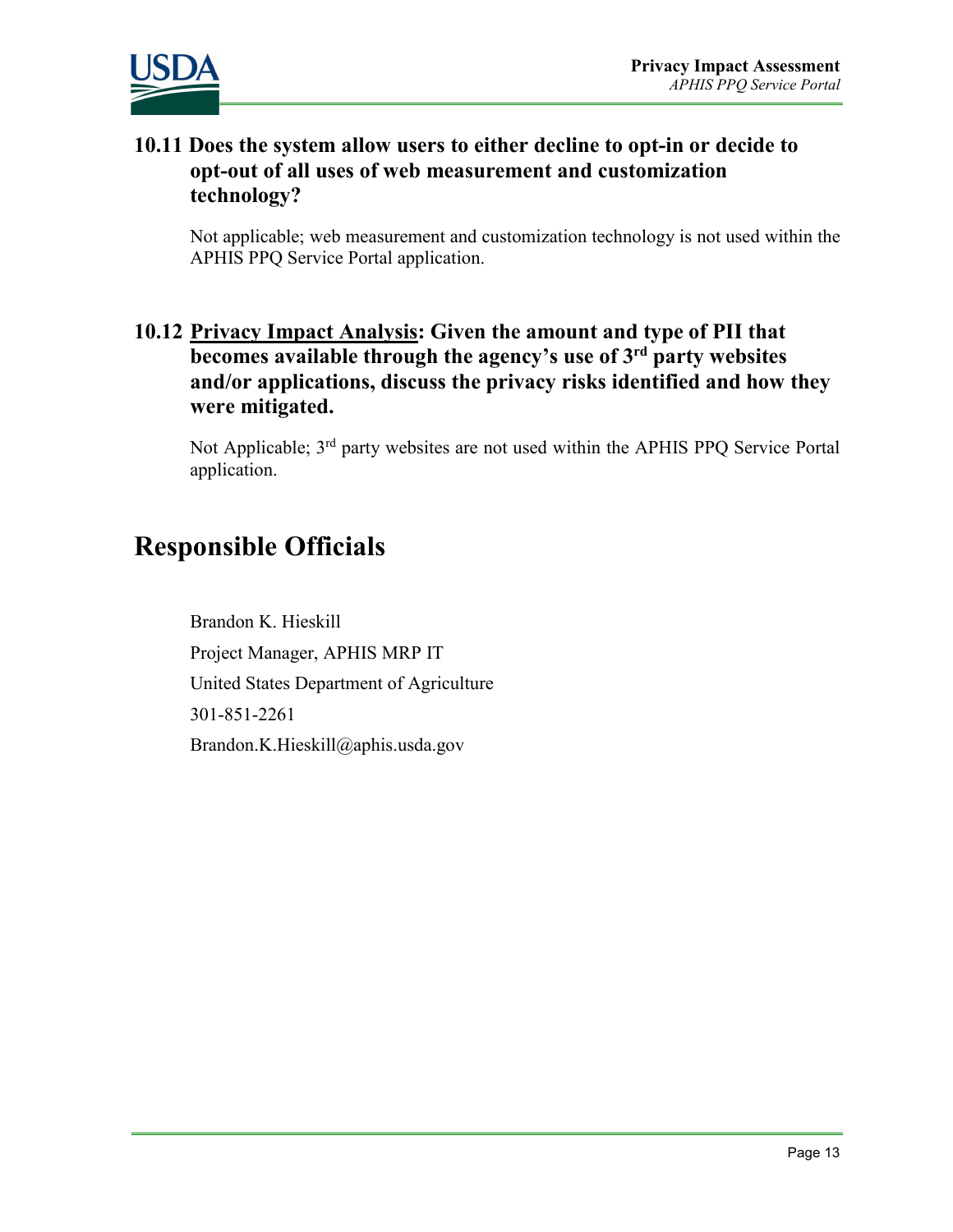



#### **10.11 Does the system allow users to either decline to opt-in or decide to opt-out of all uses of web measurement and customization technology?**

Not applicable; web measurement and customization technology is not used within the APHIS PPQ Service Portal application.

#### **10.12 Privacy Impact Analysis: Given the amount and type of PII that becomes available through the agency's use of 3rd party websites and/or applications, discuss the privacy risks identified and how they were mitigated.**

Not Applicable; 3rd party websites are not used within the APHIS PPQ Service Portal application.

### **Responsible Officials**

Brandon K. Hieskill Project Manager, APHIS MRP IT United States Department of Agriculture 301-851-2261 Brandon.K.Hieskill@aphis.usda.gov